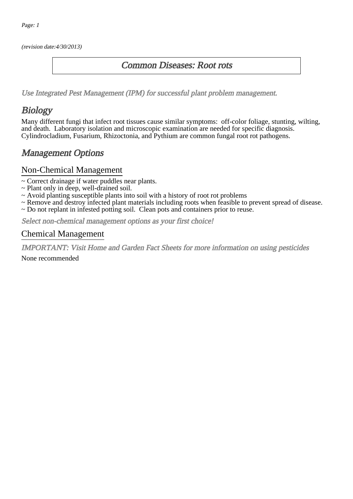(revision date:4/30/2013)

## Common Diseases: Root rots

[Use Integrated Pest Management \(IPM\) for successful plant problem management.](http://pep.wsu.edu/Home_Garden/H_G_Pesticide_info/urban_Integrated_Pest_Managmen/)

# **Biology**

Many different fungi that infect root tissues cause similar symptoms: off-color foliage, stunting, wilting, and death. Laboratory isolation and microscopic examination are needed for specific diagnosis. Cylindrocladium, Fusarium, Rhizoctonia, and Pythium are common fungal root rot pathogens.

## Management Options

#### Non-Chemical Management

- ~ Correct drainage if water puddles near plants.
- ~ Plant only in deep, well-drained soil.
- ~ Avoid planting susceptible plants into soil with a history of root rot problems
- ~ Remove and destroy infected plant materials including roots when feasible to prevent spread of disease.
- ~ Do not replant in infested potting soil. Clean pots and containers prior to reuse.

Select non-chemical management options as your first choice!

## Chemical Management

IMPORTANT: [Visit Home and Garden Fact Sheets for more information on using pesticides](http://pep.wsu.edu/Home_Garden/H_G_Pesticide_info/)

None recommended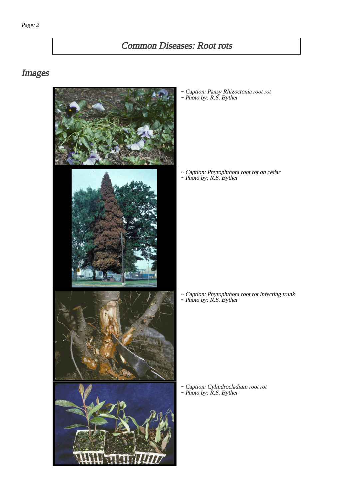# Common Diseases: Root rots

# Images



~ Caption: Pansy Rhizoctonia root rot ~ Photo by: R.S. Byther

~ Caption: Phytophthora root rot on cedar ~ Photo by: R.S. Byther

~ Caption: Phytophthora root rot infecting trunk ~ Photo by: R.S. Byther

~ Caption: Cylindrocladium root rot ~ Photo by: R.S. Byther